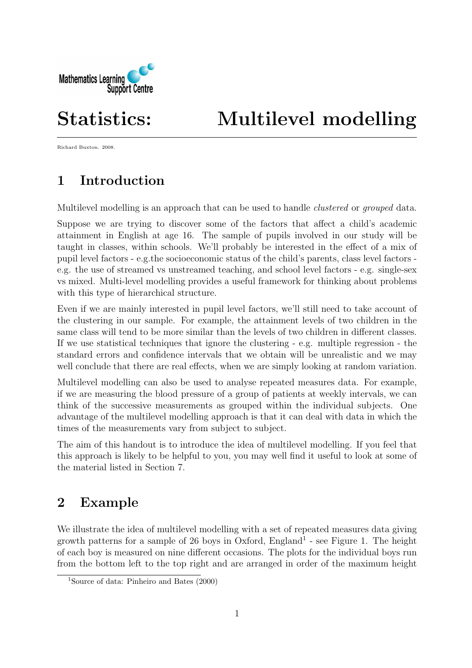

# Statistics: Multilevel modelling

Richard Buxton. 2008.

# 1 Introduction

Multilevel modelling is an approach that can be used to handle *clustered* or *grouped* data.

Suppose we are trying to discover some of the factors that affect a child's academic attainment in English at age 16. The sample of pupils involved in our study will be taught in classes, within schools. We'll probably be interested in the effect of a mix of pupil level factors - e.g.the socioeconomic status of the child's parents, class level factors e.g. the use of streamed vs unstreamed teaching, and school level factors - e.g. single-sex vs mixed. Multi-level modelling provides a useful framework for thinking about problems with this type of hierarchical structure.

Even if we are mainly interested in pupil level factors, we'll still need to take account of the clustering in our sample. For example, the attainment levels of two children in the same class will tend to be more similar than the levels of two children in different classes. If we use statistical techniques that ignore the clustering - e.g. multiple regression - the standard errors and confidence intervals that we obtain will be unrealistic and we may well conclude that there are real effects, when we are simply looking at random variation.

Multilevel modelling can also be used to analyse repeated measures data. For example, if we are measuring the blood pressure of a group of patients at weekly intervals, we can think of the successive measurements as grouped within the individual subjects. One advantage of the multilevel modelling approach is that it can deal with data in which the times of the measurements vary from subject to subject.

The aim of this handout is to introduce the idea of multilevel modelling. If you feel that this approach is likely to be helpful to you, you may well find it useful to look at some of the material listed in Section 7.

# 2 Example

We illustrate the idea of multilevel modelling with a set of repeated measures data giving growth patterns for a sample of 26 boys in Oxford,  $England<sup>1</sup>$  - see Figure 1. The height of each boy is measured on nine different occasions. The plots for the individual boys run from the bottom left to the top right and are arranged in order of the maximum height

<sup>1</sup>Source of data: Pinheiro and Bates (2000)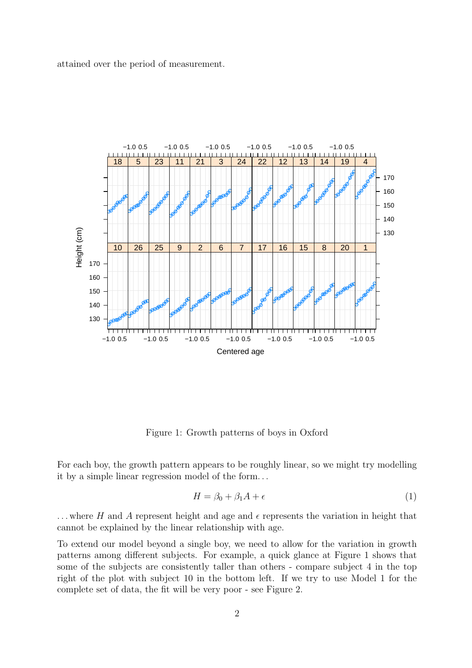attained over the period of measurement.



Figure 1: Growth patterns of boys in Oxford

For each boy, the growth pattern appears to be roughly linear, so we might try modelling it by a simple linear regression model of the form. . .

$$
H = \beta_0 + \beta_1 A + \epsilon \tag{1}
$$

... where H and A represent height and age and  $\epsilon$  represents the variation in height that cannot be explained by the linear relationship with age.

To extend our model beyond a single boy, we need to allow for the variation in growth patterns among different subjects. For example, a quick glance at Figure 1 shows that some of the subjects are consistently taller than others - compare subject 4 in the top right of the plot with subject 10 in the bottom left. If we try to use Model 1 for the complete set of data, the fit will be very poor - see Figure 2.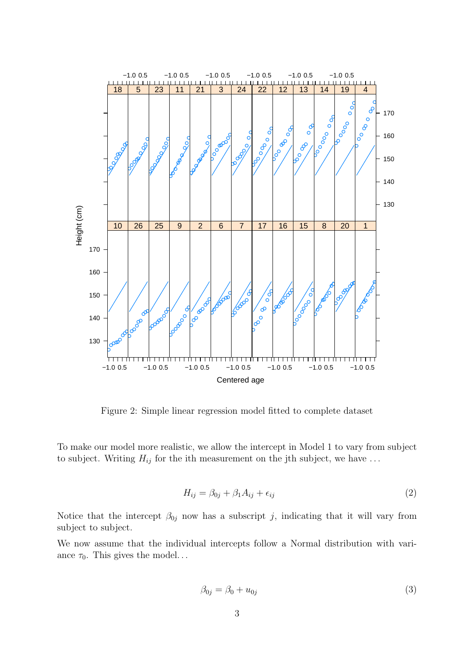

Figure 2: Simple linear regression model fitted to complete dataset

To make our model more realistic, we allow the intercept in Model 1 to vary from subject to subject. Writing  $H_{ij}$  for the ith measurement on the jth subject, we have ...

$$
H_{ij} = \beta_{0j} + \beta_1 A_{ij} + \epsilon_{ij} \tag{2}
$$

Notice that the intercept  $\beta_{0j}$  now has a subscript j, indicating that it will vary from subject to subject.

We now assume that the individual intercepts follow a Normal distribution with variance  $\tau_0$ . This gives the model...

$$
\beta_{0j} = \beta_0 + u_{0j} \tag{3}
$$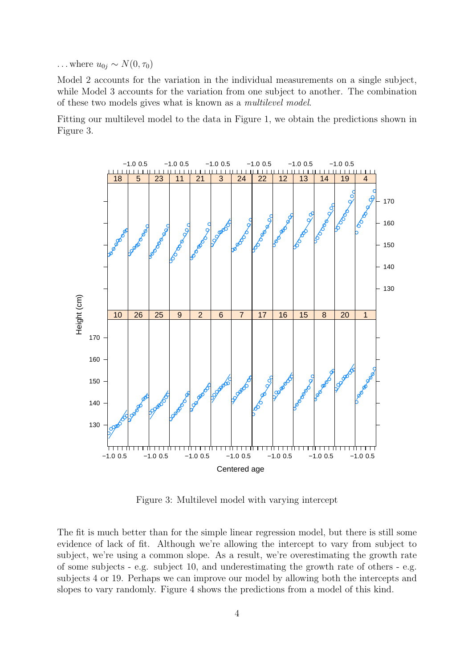$\ldots$  where  $u_{0j} \sim N(0, \tau_0)$ 

Model 2 accounts for the variation in the individual measurements on a single subject, while Model 3 accounts for the variation from one subject to another. The combination of these two models gives what is known as a multilevel model.

Fitting our multilevel model to the data in Figure 1, we obtain the predictions shown in Figure 3.



Figure 3: Multilevel model with varying intercept

The fit is much better than for the simple linear regression model, but there is still some evidence of lack of fit. Although we're allowing the intercept to vary from subject to subject, we're using a common slope. As a result, we're overestimating the growth rate of some subjects - e.g. subject 10, and underestimating the growth rate of others - e.g. subjects 4 or 19. Perhaps we can improve our model by allowing both the intercepts and slopes to vary randomly. Figure 4 shows the predictions from a model of this kind.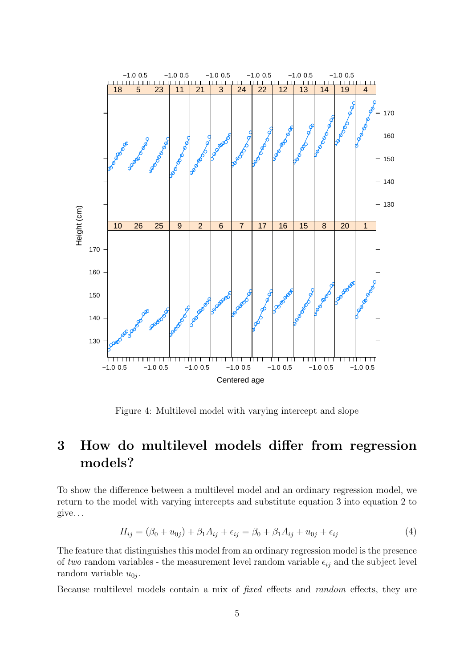

Figure 4: Multilevel model with varying intercept and slope

# 3 How do multilevel models differ from regression models?

To show the difference between a multilevel model and an ordinary regression model, we return to the model with varying intercepts and substitute equation 3 into equation 2 to give. . .

$$
H_{ij} = (\beta_0 + u_{0j}) + \beta_1 A_{ij} + \epsilon_{ij} = \beta_0 + \beta_1 A_{ij} + u_{0j} + \epsilon_{ij}
$$
(4)

The feature that distinguishes this model from an ordinary regression model is the presence of two random variables - the measurement level random variable  $\epsilon_{ij}$  and the subject level random variable  $u_{0j}$ .

Because multilevel models contain a mix of fixed effects and random effects, they are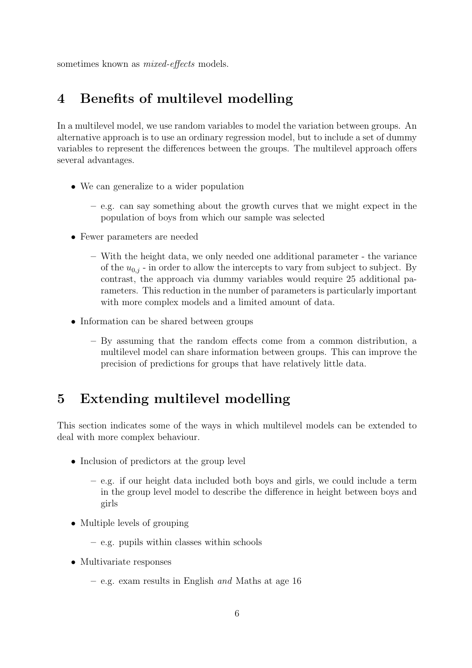sometimes known as *mixed-effects* models.

## 4 Benefits of multilevel modelling

In a multilevel model, we use random variables to model the variation between groups. An alternative approach is to use an ordinary regression model, but to include a set of dummy variables to represent the differences between the groups. The multilevel approach offers several advantages.

- We can generalize to a wider population
	- e.g. can say something about the growth curves that we might expect in the population of boys from which our sample was selected
- Fewer parameters are needed
	- With the height data, we only needed one additional parameter the variance of the  $u_{0,i}$  - in order to allow the intercepts to vary from subject to subject. By contrast, the approach via dummy variables would require 25 additional parameters. This reduction in the number of parameters is particularly important with more complex models and a limited amount of data.
- Information can be shared between groups
	- By assuming that the random effects come from a common distribution, a multilevel model can share information between groups. This can improve the precision of predictions for groups that have relatively little data.

#### 5 Extending multilevel modelling

This section indicates some of the ways in which multilevel models can be extended to deal with more complex behaviour.

- Inclusion of predictors at the group level
	- e.g. if our height data included both boys and girls, we could include a term in the group level model to describe the difference in height between boys and girls
- Multiple levels of grouping
	- e.g. pupils within classes within schools
- Multivariate responses
	- e.g. exam results in English and Maths at age 16